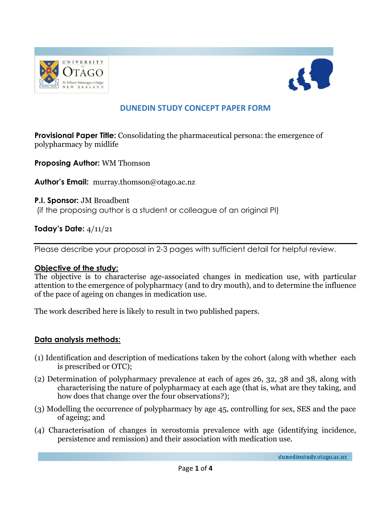



# **DUNEDIN STUDY CONCEPT PAPER FORM**

**Provisional Paper Title:** Consolidating the pharmaceutical persona: the emergence of polypharmacy by midlife

**Proposing Author:** WM Thomson

**Author's Email:** murray.thomson@otago.ac.nz

**P.I. Sponsor:** JM Broadbent (if the proposing author is a student or colleague of an original PI)

**Today's Date:** 4/11/21

Please describe your proposal in 2-3 pages with sufficient detail for helpful review.

#### **Objective of the study:**

The objective is to characterise age-associated changes in medication use, with particular attention to the emergence of polypharmacy (and to dry mouth), and to determine the influence of the pace of ageing on changes in medication use.

The work described here is likely to result in two published papers.

## **Data analysis methods:**

- (1) Identification and description of medications taken by the cohort (along with whether each is prescribed or OTC);
- (2) Determination of polypharmacy prevalence at each of ages 26, 32, 38 and 38, along with characterising the nature of polypharmacy at each age (that is, what are they taking, and how does that change over the four observations?);
- (3) Modelling the occurrence of polypharmacy by age 45, controlling for sex, SES and the pace of ageing; and
- (4) Characterisation of changes in xerostomia prevalence with age (identifying incidence, persistence and remission) and their association with medication use.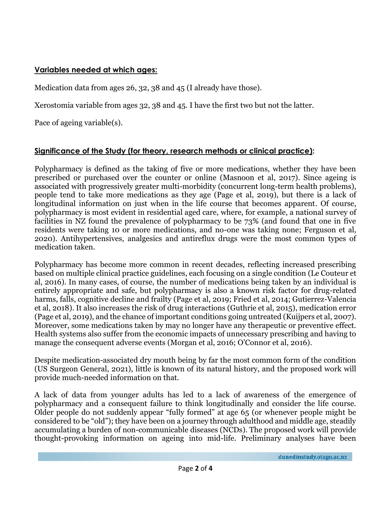## **Variables needed at which ages:**

Medication data from ages 26, 32, 38 and 45 (I already have those).

Xerostomia variable from ages 32, 38 and 45. I have the first two but not the latter.

Pace of ageing variable(s).

## **Significance of the Study (for theory, research methods or clinical practice):**

Polypharmacy is defined as the taking of five or more medications, whether they have been prescribed or purchased over the counter or online (Masnoon et al, 2017). Since ageing is associated with progressively greater multi-morbidity (concurrent long-term health problems), people tend to take more medications as they age (Page et al, 2019), but there is a lack of longitudinal information on just when in the life course that becomes apparent. Of course, polypharmacy is most evident in residential aged care, where, for example, a national survey of facilities in NZ found the prevalence of polypharmacy to be 73% (and found that one in five residents were taking 10 or more medications, and no-one was taking none; Ferguson et al, 2020). Antihypertensives, analgesics and antireflux drugs were the most common types of medication taken.

Polypharmacy has become more common in recent decades, reflecting increased prescribing based on multiple clinical practice guidelines, each focusing on a single condition (Le Couteur et al, 2016). In many cases, of course, the number of medications being taken by an individual is entirely appropriate and safe, but polypharmacy is also a known risk factor for drug-related harms, falls, cognitive decline and frailty (Page et al, 2019; Fried et al, 2014; Gutierrez-Valencia et al, 2018). It also increases the risk of drug interactions (Guthrie et al, 2015), medication error (Page et al, 2019), and the chance of important conditions going untreated (Kuijpers et al, 2007). Moreover, some medications taken by may no longer have any therapeutic or preventive effect. Health systems also suffer from the economic impacts of unnecessary prescribing and having to manage the consequent adverse events (Morgan et al, 2016; O'Connor et al, 2016).

Despite medication-associated dry mouth being by far the most common form of the condition (US Surgeon General, 2021), little is known of its natural history, and the proposed work will provide much-needed information on that.

A lack of data from younger adults has led to a lack of awareness of the emergence of polypharmacy and a consequent failure to think longitudinally and consider the life course. Older people do not suddenly appear "fully formed" at age 65 (or whenever people might be considered to be "old"); they have been on a journey through adulthood and middle age, steadily accumulating a burden of non-communicable diseases (NCDs). The proposed work will provide thought-provoking information on ageing into mid-life. Preliminary analyses have been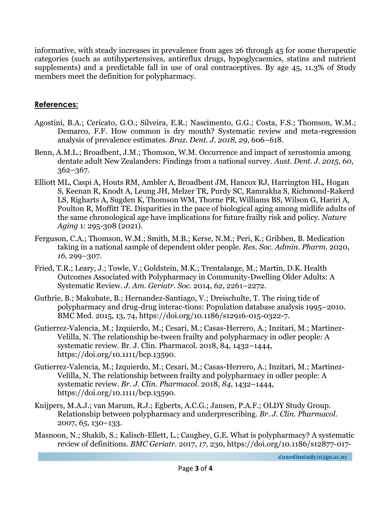informative, with steady increases in prevalence from ages 26 through 45 for some therapeutic categories (such as antihypertensives, antireflux drugs, hypoglycaemics, statins and nutrient supplements) and a predictable fall in use of oral contraceptives. By age 45, 11.3% of Study members meet the definition for polypharmacy.

# **References:**

- Agostini, B.A.; Cericato, G.O.; Silveira, E.R.; Nascimento, G.G.; Costa, F.S.; Thomson, W.M.; Demarco, F.F. How common is dry mouth? Systematic review and meta-regression analysis of prevalence estimates. *Braz. Dent. J. 2018*, *29*, 606–618.
- Benn, A.M.L.; Broadbent, J.M.; Thomson, W.M. Occurrence and impact of xerostomia among dentate adult New Zealanders: Findings from a national survey. *Aust. Dent. J. 2015*, *60*, 362–367.
- Elliott ML, Caspi A, Houts RM, Ambler A, Broadbent JM, Hancox RJ, Harrington HL, Hogan S, Keenan R, Knodt A, Leung JH, Melzer TR, Purdy SC, Ramrakha S, Richmond-Rakerd LS, Righarts A, Sugden K, Thomson WM, Thorne PR, Williams BS, Wilson G, Hariri A, Poulton R, Moffitt TE. Disparities in the pace of biological aging among midlife adults of the same chronological age have implications for future frailty risk and policy. *Nature Aging* 1: 295-308 (2021).
- Ferguson, C.A.; Thomson, W.M.; Smith, M.B.; Kerse, N.M.; Peri, K.; Gribben, B. Medication taking in a national sample of dependent older people. *Res. Soc. Admin. Pharm.* 2020, *16*, 299–307.
- Fried, T.R.; Leary, J.; Towle, V.; Goldstein, M.K.; Trentalange, M.; Martin, D.K. Health Outcomes Associated with Polypharmacy in Community-Dwelling Older Adults: A Systematic Review. *J. Am. Geriatr. Soc.* 2014, *62*, 2261–2272.
- Guthrie, B.; Makubate, B.; Hernandez-Santiago, V.; Dreischulte, T. The rising tide of polypharmacy and drug-drug interac-tions: Population database analysis 1995–2010. BMC Med. 2015, 13, 74, https://doi.org/10.1186/s12916-015-0322-7.
- Gutierrez-Valencia, M.; Izquierdo, M.; Cesari, M.; Casas-Herrero, A.; Inzitari, M.; Martinez-Velilla, N. The relationship be-tween frailty and polypharmacy in odler people: A systematic review. Br. J. Clin. Pharmacol. 2018, 84, 1432–1444, https://doi.org/10.1111/bcp.13590.
- Gutierrez-Valencia, M.; Izquierdo, M.; Cesari, M.; Casas-Herrero, A.; Inzitari, M.; Martinez-Velilla, N. The relationship between frailty and polypharmacy in odler people: A systematic review. *Br. J. Clin. Pharmacol.* 2018, *84*, 1432–1444, https://doi.org/10.1111/bcp.13590.
- Kuijpers, M.A.J.; van Marum, R.J.; Egberts, A.C.G.; Jansen, P.A.F.; OLDY Study Group. Relationship between polypharmacy and underprescribing. *Br. J. Clin. Pharmacol.* 2007, *65*, 130–133.
- Masnoon, N.; Shakib, S.; Kalisch-Ellett, L.; Caughey, G.E. What is polypharmacy? A systematic review of definitions. *BMC Geriatr.* 2017, *17*, 230, https://doi.org/10.1186/s12877-017-